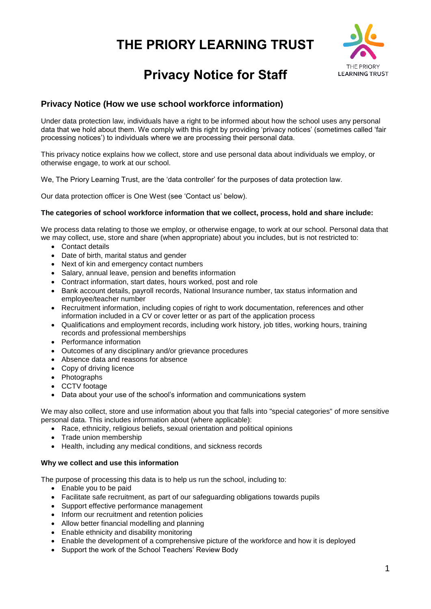# **THE PRIORY LEARNING TRUST**



# **Privacy Notice for Staff**

# **Privacy Notice (How we use school workforce information)**

Under data protection law, individuals have a right to be informed about how the school uses any personal data that we hold about them. We comply with this right by providing 'privacy notices' (sometimes called 'fair processing notices') to individuals where we are processing their personal data.

This privacy notice explains how we collect, store and use personal data about individuals we employ, or otherwise engage, to work at our school.

We, The Priory Learning Trust, are the 'data controller' for the purposes of data protection law.

Our data protection officer is One West (see 'Contact us' below).

#### **The categories of school workforce information that we collect, process, hold and share include:**

We process data relating to those we employ, or otherwise engage, to work at our school. Personal data that we may collect, use, store and share (when appropriate) about you includes, but is not restricted to:

- Contact details
- Date of birth, marital status and gender
- Next of kin and emergency contact numbers
- Salary, annual leave, pension and benefits information
- Contract information, start dates, hours worked, post and role
- Bank account details, payroll records, National Insurance number, tax status information and employee/teacher number
- Recruitment information, including copies of right to work documentation, references and other information included in a CV or cover letter or as part of the application process
- Qualifications and employment records, including work history, job titles, working hours, training records and professional memberships
- Performance information
- Outcomes of any disciplinary and/or grievance procedures
- Absence data and reasons for absence
- Copy of driving licence
- Photographs
- CCTV footage
- Data about your use of the school's information and communications system

We may also collect, store and use information about you that falls into "special categories" of more sensitive personal data. This includes information about (where applicable):

- Race, ethnicity, religious beliefs, sexual orientation and political opinions
- Trade union membership
- Health, including any medical conditions, and sickness records

### **Why we collect and use this information**

The purpose of processing this data is to help us run the school, including to:

- Enable you to be paid
- Facilitate safe recruitment, as part of our safeguarding obligations towards pupils
- Support effective performance management
- Inform our recruitment and retention policies
- Allow better financial modelling and planning
- Enable ethnicity and disability monitoring
- Enable the development of a comprehensive picture of the workforce and how it is deployed
- Support the work of the School Teachers' Review Body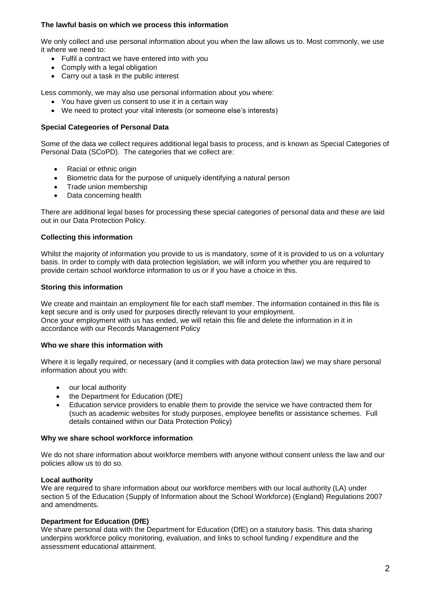## **The lawful basis on which we process this information**

We only collect and use personal information about you when the law allows us to. Most commonly, we use it where we need to:

- Fulfil a contract we have entered into with you
- Comply with a legal obligation
- Carry out a task in the public interest

Less commonly, we may also use personal information about you where:

- You have given us consent to use it in a certain way
- We need to protect your vital interests (or someone else's interests)

#### **Special Categeories of Personal Data**

Some of the data we collect requires additional legal basis to process, and is known as Special Categories of Personal Data (SCoPD). The categories that we collect are:

- Racial or ethnic origin
- Biometric data for the purpose of uniquely identifying a natural person
- Trade union membership
- Data concerning health

There are additional legal bases for processing these special categories of personal data and these are laid out in our Data Protection Policy.

#### **Collecting this information**

Whilst the majority of information you provide to us is mandatory, some of it is provided to us on a voluntary basis. In order to comply with data protection legislation, we will inform you whether you are required to provide certain school workforce information to us or if you have a choice in this.

#### **Storing this information**

We create and maintain an employment file for each staff member. The information contained in this file is kept secure and is only used for purposes directly relevant to your employment. Once your employment with us has ended, we will retain this file and delete the information in it in accordance with our Records Management Policy

#### **Who we share this information with**

Where it is legally required, or necessary (and it complies with data protection law) we may share personal information about you with:

- our local authority
- the Department for Education (DfE)
- Education service providers to enable them to provide the service we have contracted them for (such as academic websites for study purposes, employee benefits or assistance schemes. Full details contained within our Data Protection Policy)

#### **Why we share school workforce information**

We do not share information about workforce members with anyone without consent unless the law and our policies allow us to do so.

#### **Local authority**

We are required to share information about our workforce members with our local authority (LA) under section 5 of the Education (Supply of Information about the School Workforce) (England) Regulations 2007 and amendments.

#### **Department for Education (DfE)**

We share personal data with the Department for Education (DfE) on a statutory basis. This data sharing underpins workforce policy monitoring, evaluation, and links to school funding / expenditure and the assessment educational attainment.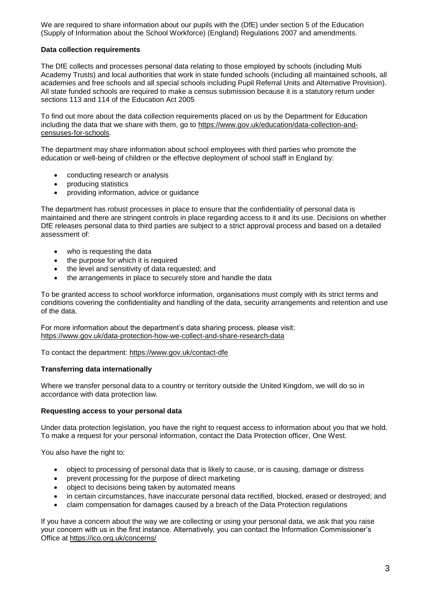We are required to share information about our pupils with the (DfE) under section 5 of the Education (Supply of Information about the School Workforce) (England) Regulations 2007 and amendments.

## **Data collection requirements**

The DfE collects and processes personal data relating to those employed by schools (including Multi Academy Trusts) and local authorities that work in state funded schools (including all maintained schools, all academies and free schools and all special schools including Pupil Referral Units and Alternative Provision). All state funded schools are required to make a census submission because it is a statutory return under sections 113 and 114 of the Education Act 2005

To find out more about the data collection requirements placed on us by the Department for Education including the data that we share with them, go to [https://www.gov.uk/education/data-collection-and](https://www.gov.uk/education/data-collection-and-censuses-for-schools)[censuses-for-schools.](https://www.gov.uk/education/data-collection-and-censuses-for-schools)

The department may share information about school employees with third parties who promote the education or well-being of children or the effective deployment of school staff in England by:

- conducting research or analysis
- producing statistics
- providing information, advice or guidance

The department has robust processes in place to ensure that the confidentiality of personal data is maintained and there are stringent controls in place regarding access to it and its use. Decisions on whether DfE releases personal data to third parties are subject to a strict approval process and based on a detailed assessment of:

- who is requesting the data
- the purpose for which it is required
- the level and sensitivity of data requested; and
- the arrangements in place to securely store and handle the data

To be granted access to school workforce information, organisations must comply with its strict terms and conditions covering the confidentiality and handling of the data, security arrangements and retention and use of the data.

For more information about the department's data sharing process, please visit: <https://www.gov.uk/data-protection-how-we-collect-and-share-research-data>

To contact the department:<https://www.gov.uk/contact-dfe>

#### **Transferring data internationally**

Where we transfer personal data to a country or territory outside the United Kingdom, we will do so in accordance with data protection law.

#### **Requesting access to your personal data**

Under data protection legislation, you have the right to request access to information about you that we hold. To make a request for your personal information, contact the Data Protection officer, One West.

You also have the right to:

- object to processing of personal data that is likely to cause, or is causing, damage or distress
- prevent processing for the purpose of direct marketing
- object to decisions being taken by automated means
- in certain circumstances, have inaccurate personal data rectified, blocked, erased or destroyed; and
- claim compensation for damages caused by a breach of the Data Protection regulations

If you have a concern about the way we are collecting or using your personal data, we ask that you raise your concern with us in the first instance. Alternatively, you can contact the Information Commissioner's Office at<https://ico.org.uk/concerns/>